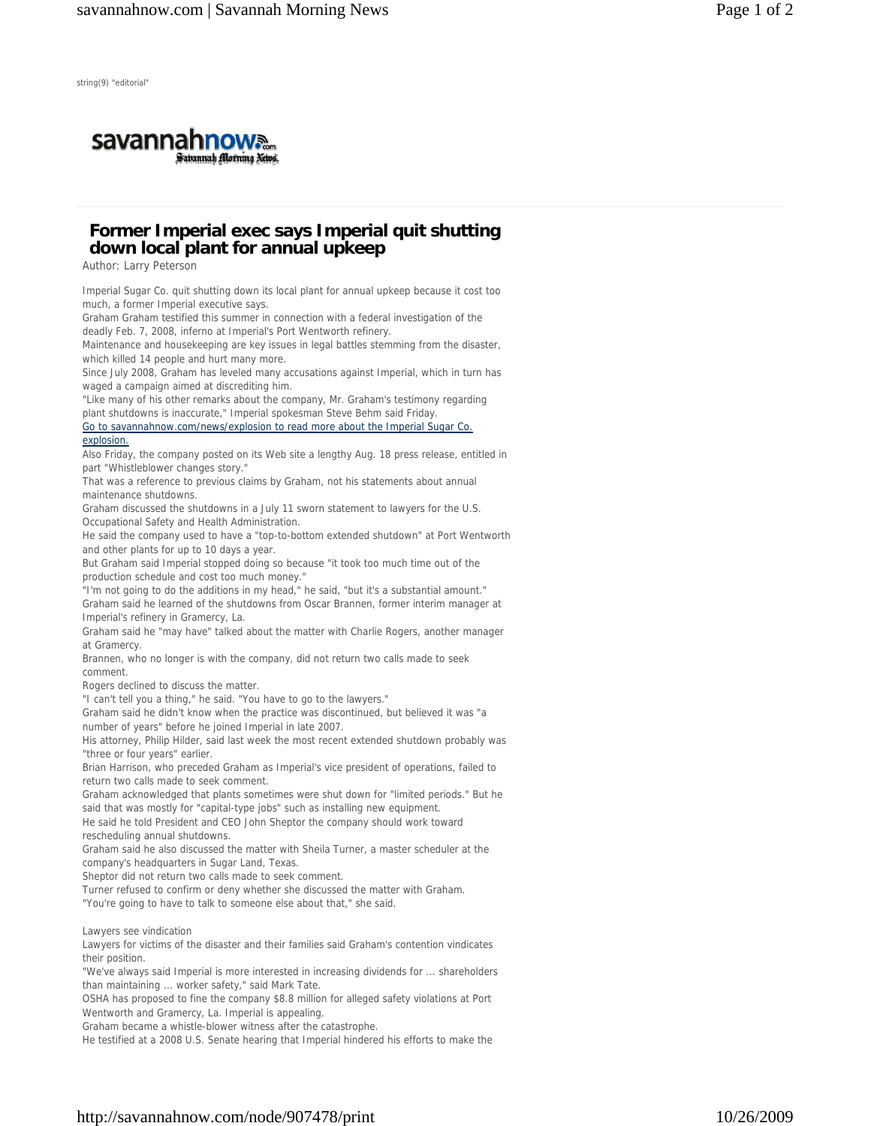

## **Former Imperial exec says Imperial quit shutting down local plant for annual upkeep**

Author: Larry Peterson

Imperial Sugar Co. quit shutting down its local plant for annual upkeep because it cost too much, a former Imperial executive says.

Graham Graham testified this summer in connection with a federal investigation of the deadly Feb. 7, 2008, inferno at Imperial's Port Wentworth refinery.

Maintenance and housekeeping are key issues in legal battles stemming from the disaster, which killed 14 people and hurt many more.

Since July 2008, Graham has leveled many accusations against Imperial, which in turn has waged a campaign aimed at discrediting him.

"Like many of his other remarks about the company, Mr. Graham's testimony regarding plant shutdowns is inaccurate," Imperial spokesman Steve Behm said Friday.

Go to savannahnow.com/news/explosion to read more about the Imperial Sugar Co. explosion.

Also Friday, the company posted on its Web site a lengthy Aug. 18 press release, entitled in part "Whistleblower changes story."

That was a reference to previous claims by Graham, not his statements about annual maintenance shutdowns.

Graham discussed the shutdowns in a July 11 sworn statement to lawyers for the U.S. Occupational Safety and Health Administration.

He said the company used to have a "top-to-bottom extended shutdown" at Port Wentworth and other plants for up to 10 days a year.

But Graham said Imperial stopped doing so because "it took too much time out of the production schedule and cost too much money.

"I'm not going to do the additions in my head," he said, "but it's a substantial amount." Graham said he learned of the shutdowns from Oscar Brannen, former interim manager at Imperial's refinery in Gramercy, La.

Graham said he "may have" talked about the matter with Charlie Rogers, another manager at Gramercy.

Brannen, who no longer is with the company, did not return two calls made to seek comment.

Rogers declined to discuss the matter.

"I can't tell you a thing," he said. "You have to go to the lawyers."

Graham said he didn't know when the practice was discontinued, but believed it was "a number of years" before he joined Imperial in late 2007.

His attorney, Philip Hilder, said last week the most recent extended shutdown probably was "three or four years" earlier.

Brian Harrison, who preceded Graham as Imperial's vice president of operations, failed to return two calls made to seek comment.

Graham acknowledged that plants sometimes were shut down for "limited periods." But he said that was mostly for "capital-type jobs" such as installing new equipment.

He said he told President and CEO John Sheptor the company should work toward rescheduling annual shutdowns.

Graham said he also discussed the matter with Sheila Turner, a master scheduler at the company's headquarters in Sugar Land, Texas.

Sheptor did not return two calls made to seek comment.

Turner refused to confirm or deny whether she discussed the matter with Graham.

"You're going to have to talk to someone else about that," she said.

Lawyers see vindication

Lawyers for victims of the disaster and their families said Graham's contention vindicates their position.

"We've always said Imperial is more interested in increasing dividends for ... shareholders than maintaining ... worker safety," said Mark Tate.

OSHA has proposed to fine the company \$8.8 million for alleged safety violations at Port Wentworth and Gramercy, La. Imperial is appealing.

Graham became a whistle-blower witness after the catastrophe.

He testified at a 2008 U.S. Senate hearing that Imperial hindered his efforts to make the